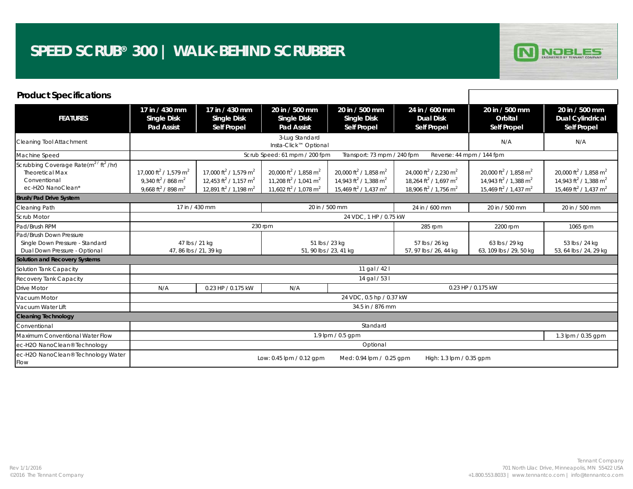

| <b>Product Specifications</b>                                                                                            |                                                                                                                                           |                                                                                                                                                 |                                                                                                                                                 |                                                                                                                                                 |                                                                                                                                                 |                                                                                                                                                 |                                                                                                                                                 |  |  |
|--------------------------------------------------------------------------------------------------------------------------|-------------------------------------------------------------------------------------------------------------------------------------------|-------------------------------------------------------------------------------------------------------------------------------------------------|-------------------------------------------------------------------------------------------------------------------------------------------------|-------------------------------------------------------------------------------------------------------------------------------------------------|-------------------------------------------------------------------------------------------------------------------------------------------------|-------------------------------------------------------------------------------------------------------------------------------------------------|-------------------------------------------------------------------------------------------------------------------------------------------------|--|--|
| <b>FEATURES</b>                                                                                                          | 17 in / 430 mm<br><b>Single Disk</b><br><b>Pad Assist</b>                                                                                 | 17 in / 430 mm<br><b>Single Disk</b><br><b>Self Propel</b>                                                                                      | 20 in / 500 mm<br><b>Single Disk</b><br><b>Pad Assist</b>                                                                                       | 20 in / 500 mm<br><b>Single Disk</b><br><b>Self Propel</b>                                                                                      | 24 in / 600 mm<br><b>Dual Disk</b><br><b>Self Propel</b>                                                                                        | 20 in / 500 mm<br>Orbital<br><b>Self Propel</b>                                                                                                 | 20 in / 500 mm<br><b>Dual Cylindrical</b><br><b>Self Propel</b>                                                                                 |  |  |
| Cleaning Tool Attachment                                                                                                 |                                                                                                                                           |                                                                                                                                                 | N/A                                                                                                                                             | N/A                                                                                                                                             |                                                                                                                                                 |                                                                                                                                                 |                                                                                                                                                 |  |  |
| Machine Speed                                                                                                            | Scrub Speed: 61 mpm / 200 fpm<br>Transport: 73 mpm / 240 fpm<br>Reverse: 44 mpm / 144 fpm                                                 |                                                                                                                                                 |                                                                                                                                                 |                                                                                                                                                 |                                                                                                                                                 |                                                                                                                                                 |                                                                                                                                                 |  |  |
| Scrubbing Coverage Rate(m <sup>2/ft<sup>2</sup>/hr)</sup><br><b>Theoretical Max</b><br>Conventional<br>ec-H2O NanoClean® | 17,000 ft <sup>2</sup> / 1,579 m <sup>2</sup><br>9.340 ft <sup>2</sup> / 868 m <sup>2</sup><br>9,668 ft <sup>2</sup> / 898 m <sup>2</sup> | 17.000 ft <sup>2</sup> / 1.579 m <sup>2</sup><br>12,453 ft <sup>2</sup> / 1,157 m <sup>2</sup><br>12,891 ft <sup>2</sup> / 1,198 m <sup>2</sup> | 20,000 ft <sup>2</sup> / 1,858 m <sup>2</sup><br>11,208 ft <sup>2</sup> / 1,041 m <sup>2</sup><br>11,602 ft <sup>2</sup> / 1,078 m <sup>2</sup> | 20.000 ft <sup>2</sup> / 1.858 m <sup>2</sup><br>14.943 ft <sup>2</sup> / 1.388 m <sup>2</sup><br>15,469 ft <sup>2</sup> / 1,437 m <sup>2</sup> | 24.000 ft <sup>2</sup> / 2.230 m <sup>2</sup><br>18.264 ft <sup>2</sup> / 1.697 m <sup>2</sup><br>18,906 ft <sup>2</sup> / 1,756 m <sup>2</sup> | 20.000 ft <sup>2</sup> / 1.858 m <sup>2</sup><br>14.943 ft <sup>2</sup> / 1.388 m <sup>2</sup><br>15,469 ft <sup>2</sup> / 1,437 m <sup>2</sup> | 20.000 ft <sup>2</sup> / 1.858 m <sup>2</sup><br>14.943 ft <sup>2</sup> / 1.388 m <sup>2</sup><br>15,469 ft <sup>2</sup> / 1,437 m <sup>2</sup> |  |  |
| <b>Brush/Pad Drive System</b>                                                                                            |                                                                                                                                           |                                                                                                                                                 |                                                                                                                                                 |                                                                                                                                                 |                                                                                                                                                 |                                                                                                                                                 |                                                                                                                                                 |  |  |
| Cleaning Path                                                                                                            | 17 in / 430 mm                                                                                                                            |                                                                                                                                                 | 20 in / 500 mm                                                                                                                                  |                                                                                                                                                 | 24 in / 600 mm                                                                                                                                  | 20 in / 500 mm                                                                                                                                  | 20 in / 500 mm                                                                                                                                  |  |  |
| Scrub Motor                                                                                                              | 24 VDC, 1 HP / 0.75 kW                                                                                                                    |                                                                                                                                                 |                                                                                                                                                 |                                                                                                                                                 |                                                                                                                                                 |                                                                                                                                                 |                                                                                                                                                 |  |  |
| Pad/Brush RPM                                                                                                            |                                                                                                                                           | 230 rpm                                                                                                                                         | 2200 rpm                                                                                                                                        | 1065 rpm                                                                                                                                        |                                                                                                                                                 |                                                                                                                                                 |                                                                                                                                                 |  |  |
| Pad/Brush Down Pressure<br>Single Down Pressure - Standard<br>Dual Down Pressure - Optional                              | 47 lbs / 21 kg<br>47, 86 lbs / 21, 39 kg                                                                                                  |                                                                                                                                                 | 51 lbs / 23 kg<br>51, 90 lbs / 23, 41 kg                                                                                                        |                                                                                                                                                 | 57 lbs / 26 kg<br>57, 97 lbs / 26, 44 kg                                                                                                        | 63 lbs / 29 kg<br>63, 109 lbs / 29, 50 kg                                                                                                       | 53 lbs / 24 kg<br>53, 64 lbs / 24, 29 kg                                                                                                        |  |  |
| Solution and Recovery Systems                                                                                            |                                                                                                                                           |                                                                                                                                                 |                                                                                                                                                 |                                                                                                                                                 |                                                                                                                                                 |                                                                                                                                                 |                                                                                                                                                 |  |  |
| Solution Tank Capacity                                                                                                   | 11 gal / 42 l                                                                                                                             |                                                                                                                                                 |                                                                                                                                                 |                                                                                                                                                 |                                                                                                                                                 |                                                                                                                                                 |                                                                                                                                                 |  |  |
| Recovery Tank Capacity                                                                                                   | 14 gal / 53 l                                                                                                                             |                                                                                                                                                 |                                                                                                                                                 |                                                                                                                                                 |                                                                                                                                                 |                                                                                                                                                 |                                                                                                                                                 |  |  |
| Drive Motor                                                                                                              | N/A                                                                                                                                       | 0.23 HP / 0.175 kW                                                                                                                              | N/A                                                                                                                                             |                                                                                                                                                 | 0.23 HP / 0.175 kW                                                                                                                              |                                                                                                                                                 |                                                                                                                                                 |  |  |
| Vacuum Motor                                                                                                             | 24 VDC, 0.5 hp / 0.37 kW                                                                                                                  |                                                                                                                                                 |                                                                                                                                                 |                                                                                                                                                 |                                                                                                                                                 |                                                                                                                                                 |                                                                                                                                                 |  |  |
| Vacuum Water Lift                                                                                                        | 34.5 in / 876 mm                                                                                                                          |                                                                                                                                                 |                                                                                                                                                 |                                                                                                                                                 |                                                                                                                                                 |                                                                                                                                                 |                                                                                                                                                 |  |  |
| <b>Cleaning Technology</b>                                                                                               |                                                                                                                                           |                                                                                                                                                 |                                                                                                                                                 |                                                                                                                                                 |                                                                                                                                                 |                                                                                                                                                 |                                                                                                                                                 |  |  |
| Conventional                                                                                                             | Standard                                                                                                                                  |                                                                                                                                                 |                                                                                                                                                 |                                                                                                                                                 |                                                                                                                                                 |                                                                                                                                                 |                                                                                                                                                 |  |  |
| Maximum Conventional Water Flow                                                                                          | 1.9 lpm / 0.5 gpm<br>1.3 lpm / 0.35 gpm                                                                                                   |                                                                                                                                                 |                                                                                                                                                 |                                                                                                                                                 |                                                                                                                                                 |                                                                                                                                                 |                                                                                                                                                 |  |  |
| ec-H2O NanoClean® Technology                                                                                             | Optional                                                                                                                                  |                                                                                                                                                 |                                                                                                                                                 |                                                                                                                                                 |                                                                                                                                                 |                                                                                                                                                 |                                                                                                                                                 |  |  |
| ec-H2O NanoClean® Technology Water<br>Flow                                                                               | Low: 0.45 lpm / 0.12 gpm<br>Med: 0.94 lpm / 0.25 gpm<br>High: 1.3 lpm / 0.35 gpm                                                          |                                                                                                                                                 |                                                                                                                                                 |                                                                                                                                                 |                                                                                                                                                 |                                                                                                                                                 |                                                                                                                                                 |  |  |